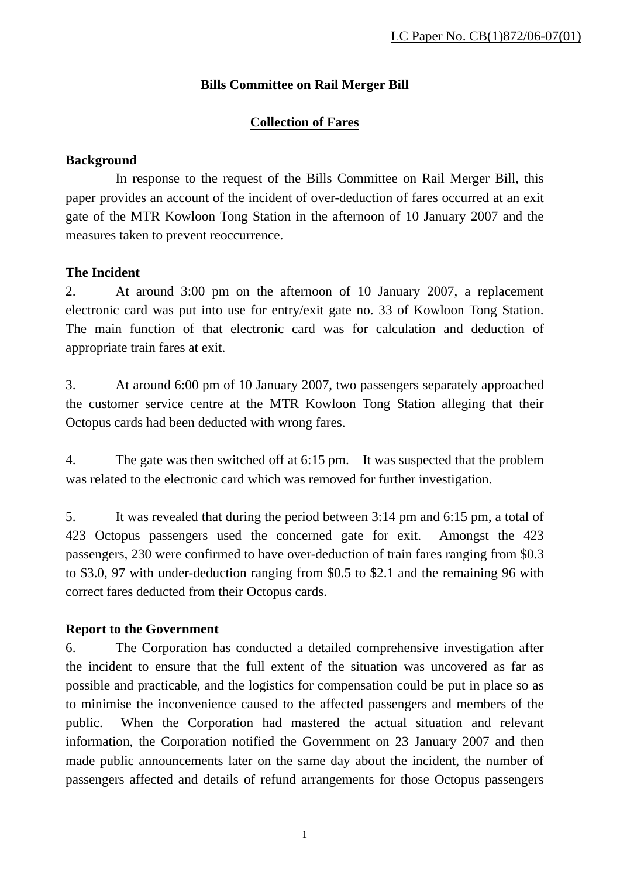# **Bills Committee on Rail Merger Bill**

# **Collection of Fares**

#### **Background**

 In response to the request of the Bills Committee on Rail Merger Bill, this paper provides an account of the incident of over-deduction of fares occurred at an exit gate of the MTR Kowloon Tong Station in the afternoon of 10 January 2007 and the measures taken to prevent reoccurrence.

## **The Incident**

2. At around 3:00 pm on the afternoon of 10 January 2007, a replacement electronic card was put into use for entry/exit gate no. 33 of Kowloon Tong Station. The main function of that electronic card was for calculation and deduction of appropriate train fares at exit.

3. At around 6:00 pm of 10 January 2007, two passengers separately approached the customer service centre at the MTR Kowloon Tong Station alleging that their Octopus cards had been deducted with wrong fares.

4. The gate was then switched off at 6:15 pm. It was suspected that the problem was related to the electronic card which was removed for further investigation.

5. It was revealed that during the period between 3:14 pm and 6:15 pm, a total of 423 Octopus passengers used the concerned gate for exit. Amongst the 423 passengers, 230 were confirmed to have over-deduction of train fares ranging from \$0.3 to \$3.0, 97 with under-deduction ranging from \$0.5 to \$2.1 and the remaining 96 with correct fares deducted from their Octopus cards.

# **Report to the Government**

6. The Corporation has conducted a detailed comprehensive investigation after the incident to ensure that the full extent of the situation was uncovered as far as possible and practicable, and the logistics for compensation could be put in place so as to minimise the inconvenience caused to the affected passengers and members of the public. When the Corporation had mastered the actual situation and relevant information, the Corporation notified the Government on 23 January 2007 and then made public announcements later on the same day about the incident, the number of passengers affected and details of refund arrangements for those Octopus passengers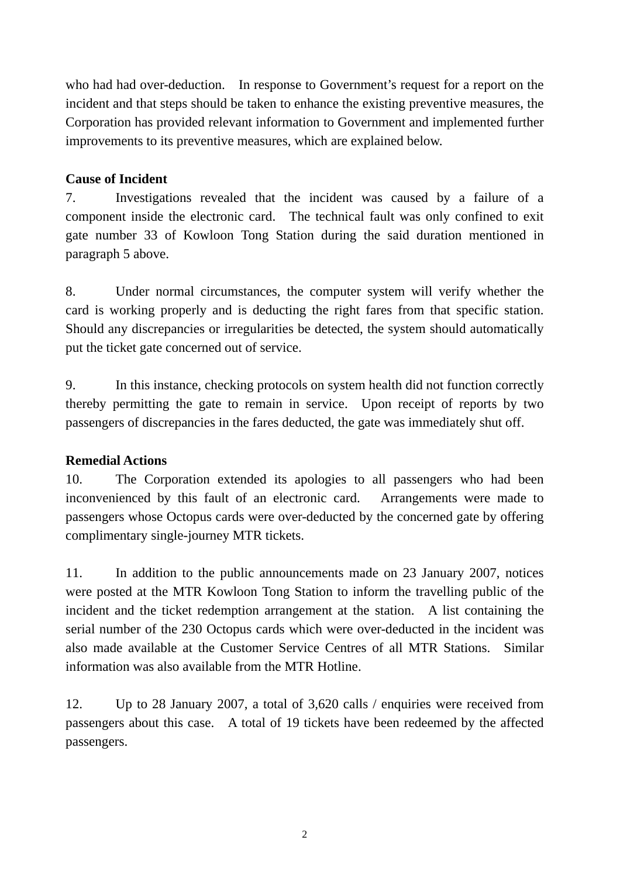who had had over-deduction. In response to Government's request for a report on the incident and that steps should be taken to enhance the existing preventive measures, the Corporation has provided relevant information to Government and implemented further improvements to its preventive measures, which are explained below.

## **Cause of Incident**

7. Investigations revealed that the incident was caused by a failure of a component inside the electronic card. The technical fault was only confined to exit gate number 33 of Kowloon Tong Station during the said duration mentioned in paragraph 5 above.

8. Under normal circumstances, the computer system will verify whether the card is working properly and is deducting the right fares from that specific station. Should any discrepancies or irregularities be detected, the system should automatically put the ticket gate concerned out of service.

9. In this instance, checking protocols on system health did not function correctly thereby permitting the gate to remain in service. Upon receipt of reports by two passengers of discrepancies in the fares deducted, the gate was immediately shut off.

#### **Remedial Actions**

10. The Corporation extended its apologies to all passengers who had been inconvenienced by this fault of an electronic card. Arrangements were made to passengers whose Octopus cards were over-deducted by the concerned gate by offering complimentary single-journey MTR tickets.

11. In addition to the public announcements made on 23 January 2007, notices were posted at the MTR Kowloon Tong Station to inform the travelling public of the incident and the ticket redemption arrangement at the station. A list containing the serial number of the 230 Octopus cards which were over-deducted in the incident was also made available at the Customer Service Centres of all MTR Stations. Similar information was also available from the MTR Hotline.

12. Up to 28 January 2007, a total of 3,620 calls / enquiries were received from passengers about this case. A total of 19 tickets have been redeemed by the affected passengers.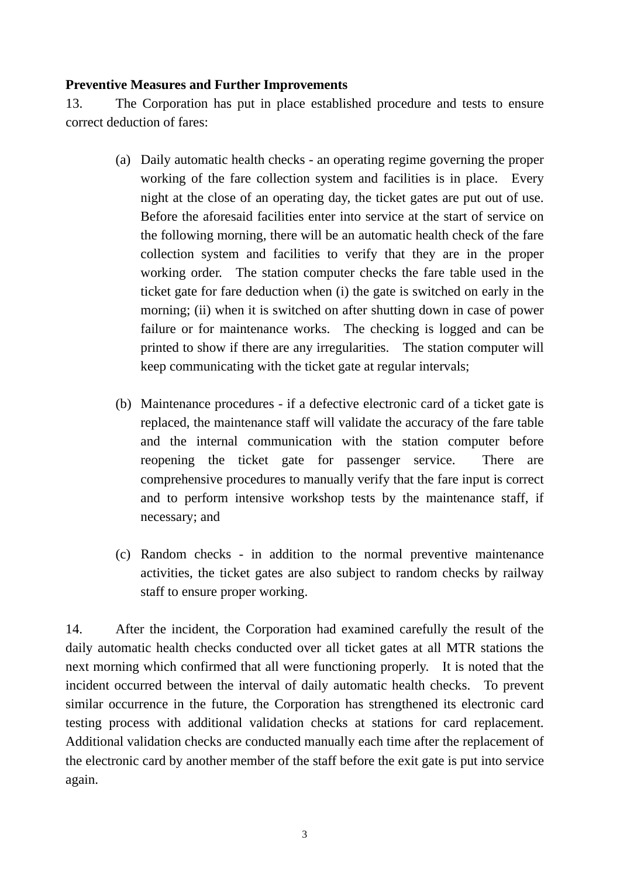#### **Preventive Measures and Further Improvements**

13. The Corporation has put in place established procedure and tests to ensure correct deduction of fares:

- (a) Daily automatic health checks an operating regime governing the proper working of the fare collection system and facilities is in place. Every night at the close of an operating day, the ticket gates are put out of use. Before the aforesaid facilities enter into service at the start of service on the following morning, there will be an automatic health check of the fare collection system and facilities to verify that they are in the proper working order. The station computer checks the fare table used in the ticket gate for fare deduction when (i) the gate is switched on early in the morning; (ii) when it is switched on after shutting down in case of power failure or for maintenance works. The checking is logged and can be printed to show if there are any irregularities. The station computer will keep communicating with the ticket gate at regular intervals;
- (b) Maintenance procedures if a defective electronic card of a ticket gate is replaced, the maintenance staff will validate the accuracy of the fare table and the internal communication with the station computer before reopening the ticket gate for passenger service. There are comprehensive procedures to manually verify that the fare input is correct and to perform intensive workshop tests by the maintenance staff, if necessary; and
- (c) Random checks in addition to the normal preventive maintenance activities, the ticket gates are also subject to random checks by railway staff to ensure proper working.

14. After the incident, the Corporation had examined carefully the result of the daily automatic health checks conducted over all ticket gates at all MTR stations the next morning which confirmed that all were functioning properly. It is noted that the incident occurred between the interval of daily automatic health checks. To prevent similar occurrence in the future, the Corporation has strengthened its electronic card testing process with additional validation checks at stations for card replacement. Additional validation checks are conducted manually each time after the replacement of the electronic card by another member of the staff before the exit gate is put into service again.